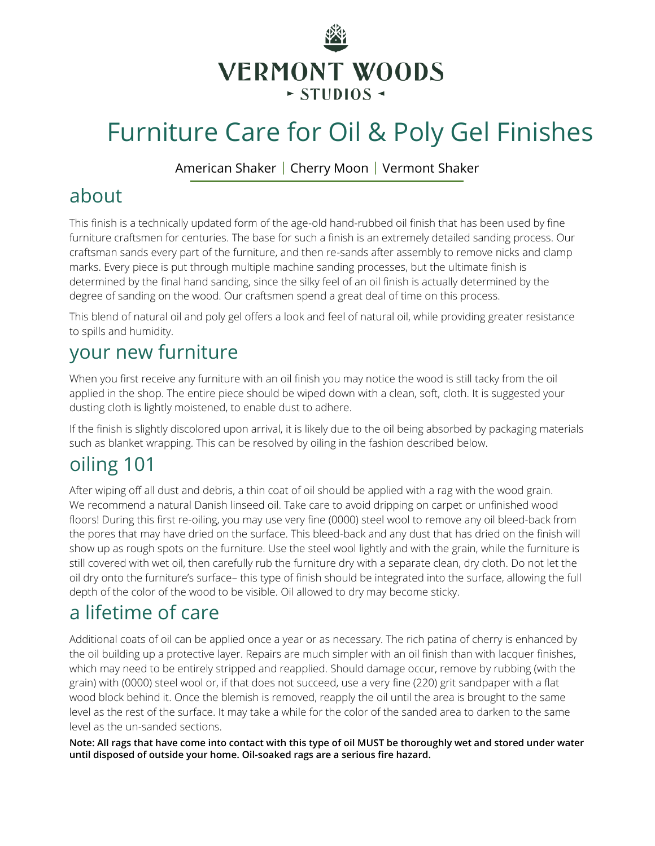

# Furniture Care for Oil & Poly Gel Finishes

American Shaker | Cherry Moon | Vermont Shaker

## about

This finish is a technically updated form of the age-old hand-rubbed oil finish that has been used by fine furniture craftsmen for centuries. The base for such a finish is an extremely detailed sanding process. Our craftsman sands every part of the furniture, and then re-sands after assembly to remove nicks and clamp marks. Every piece is put through multiple machine sanding processes, but the ultimate finish is determined by the final hand sanding, since the silky feel of an oil finish is actually determined by the degree of sanding on the wood. Our craftsmen spend a great deal of time on this process.

This blend of natural oil and poly gel offers a look and feel of natural oil, while providing greater resistance to spills and humidity.

# your new furniture

When you first receive any furniture with an oil finish you may notice the wood is still tacky from the oil applied in the shop. The entire piece should be wiped down with a clean, soft, cloth. It is suggested your dusting cloth is lightly moistened, to enable dust to adhere.

If the finish is slightly discolored upon arrival, it is likely due to the oil being absorbed by packaging materials such as blanket wrapping. This can be resolved by oiling in the fashion described below.

# oiling 101

After wiping off all dust and debris, a thin coat of oil should be applied with a rag with the wood grain. We recommend a natural Danish linseed oil. Take care to avoid dripping on carpet or unfinished wood floors! During this first re-oiling, you may use very fine (0000) steel wool to remove any oil bleed-back from the pores that may have dried on the surface. This bleed-back and any dust that has dried on the finish will show up as rough spots on the furniture. Use the steel wool lightly and with the grain, while the furniture is still covered with wet oil, then carefully rub the furniture dry with a separate clean, dry cloth. Do not let the oil dry onto the furniture's surface– this type of finish should be integrated into the surface, allowing the full depth of the color of the wood to be visible. Oil allowed to dry may become sticky.

## a lifetime of care

Additional coats of oil can be applied once a year or as necessary. The rich patina of cherry is enhanced by the oil building up a protective layer. Repairs are much simpler with an oil finish than with lacquer finishes, which may need to be entirely stripped and reapplied. Should damage occur, remove by rubbing (with the grain) with (0000) steel wool or, if that does not succeed, use a very fine (220) grit sandpaper with a flat wood block behind it. Once the blemish is removed, reapply the oil until the area is brought to the same level as the rest of the surface. It may take a while for the color of the sanded area to darken to the same level as the un-sanded sections.

**Note: All rags that have come into contact with this type of oil MUST be thoroughly wet and stored under water until disposed of outside your home. Oil-soaked rags are a serious fire hazard.**